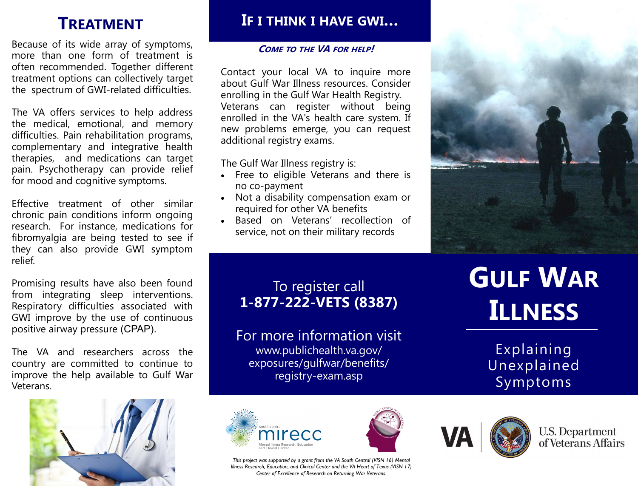# **TREATMENT**

Because of its wide array of symptoms, more than one form of treatment is often recommended. Together different treatment options can collectively target the spectrum of GWI-related difficulties.

The VA offers services to help address the medical, emotional, and memory difficulties. Pain rehabilitation programs, complementary and integrative health therapies, and medications can target pain. Psychotherapy can provide relief for mood and cognitive symptoms.

Effective treatment of other similar chronic pain conditions inform ongoing research. For instance, medications for fibromyalgia are being tested to see if they can also provide GWI symptom relief.

Promising results have also been found from integrating sleep interventions. Respiratory difficulties associated with GWI improve by the use of continuous positive airway pressure (CPAP).

The VA and researchers across the country are committed to continue to improve the help available to Gulf War Veterans.



## **IF I THINK I HAVE GWI…**

#### **COME TO THE VA FOR HELP!**

Contact your local VA to inquire more about Gulf War Illness resources. Consider enrolling in the Gulf War Health Registry. Veterans can register without being enrolled in the VA's health care system. If new problems emerge, you can request additional registry exams.

The Gulf War Illness registry is:

- Free to eligible Veterans and there is no co-payment
- Not a disability compensation exam or required for other VA benefits
- Based on Veterans' recollection of service, not on their military records



## To register call **1-877-222-VETS (8387)**

For more information visit www.publichealth.va.gov/ exposures/gulfwar/benefits/ registry-exam.asp

# **GULF WAR ILLNESS**

Explaining Unexplained Symptoms









**U.S. Department** of Veterans Affairs

*This project was supported by a grant from the VA South Central (VISN 16) Mental*  **Illness Research, Education, and Clinical Center and the VA Heart of Texas (VISN 17)** *Center of Excellence of Research on Returning War Veterans.*